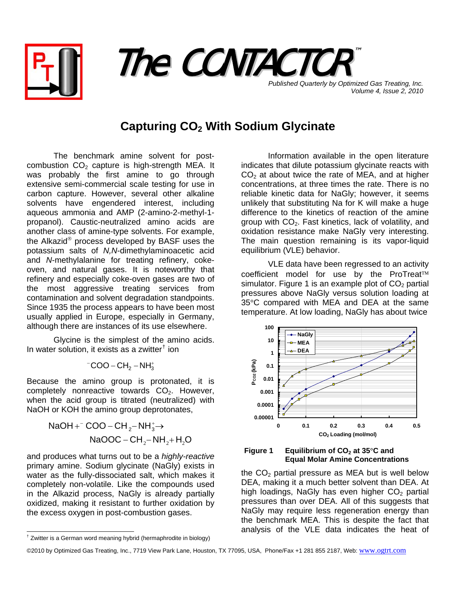



*Volume 4, Issue 2, 2010*

## **Capturing CO2 With Sodium Glycinate**

The benchmark amine solvent for postcombustion  $CO<sub>2</sub>$  capture is high-strength MEA. It was probably the first amine to go through extensive semi-commercial scale testing for use in carbon capture. However, several other alkaline solvents have engendered interest, including aqueous ammonia and AMP (2-amino-2-methyl-1 propanol). Caustic-neutralized amino acids are another class of amine-type solvents. For example, the Alkazid® process developed by BASF uses the potassium salts of *N,N*-dimethylaminoacetic acid and *N*-methylalanine for treating refinery, cokeoven, and natural gases. It is noteworthy that refinery and especially coke-oven gases are two of the most aggressive treating services from contamination and solvent degradation standpoints. Since 1935 the process appears to have been most usually applied in Europe, especially in Germany, although there are instances of its use elsewhere.

Glycine is the simplest of the amino acids. In water solution, it exists as a zwitter[†](#page-0-0) ion

$$
{}^-COO-CH_2-NH_3^+
$$

Because the amino group is protonated, it is completely nonreactive towards  $CO<sub>2</sub>$ . However, when the acid group is titrated (neutralized) with NaOH or KOH the amino group deprotonates,

> $\mathsf{NaOOC} - \mathsf{CH}_2 - \mathsf{NH}_2 + \mathsf{H}_2\mathsf{O}$  $NaOH +^-$  COO – CH<sub>2</sub>–NH<sub>3</sub>→

and produces what turns out to be a *highly-reactive* primary amine. Sodium glycinate (NaGly) exists in water as the fully-dissociated salt, which makes it completely non-volatile. Like the compounds used in the Alkazid process, NaGly is already partially oxidized, making it resistant to further oxidation by the excess oxygen in post-combustion gases.

 Information available in the open literature indicates that dilute potassium glycinate reacts with  $CO<sub>2</sub>$  at about twice the rate of MEA, and at higher concentrations, at three times the rate. There is no reliable kinetic data for NaGly; however, it seems unlikely that substituting Na for K will make a huge difference to the kinetics of reaction of the amine group with  $CO<sub>2</sub>$ . Fast kinetics, lack of volatility, and oxidation resistance make NaGly very interesting. The main question remaining is its vapor-liquid equilibrium (VLE) behavior.

 VLE data have been regressed to an activity coefficient model for use by the ProTreat™ simulator. Figure 1 is an example plot of  $CO<sub>2</sub>$  partial pressures above NaGly versus solution loading at 35°C compared with MEA and DEA at the same temperature. At low loading, NaGly has about twice





the  $CO<sub>2</sub>$  partial pressure as MEA but is well below DEA, making it a much better solvent than DEA. At high loadings, NaGly has even higher  $CO<sub>2</sub>$  partial pressures than over DEA. All of this suggests that NaGly may require less regeneration energy than the benchmark MEA. This is despite the fact that analysis of the VLE data indicates the heat of

 $\overline{a}$ 

<span id="page-0-0"></span><sup>†</sup> Zwitter is a German word meaning hybrid (hermaphrodite in biology)